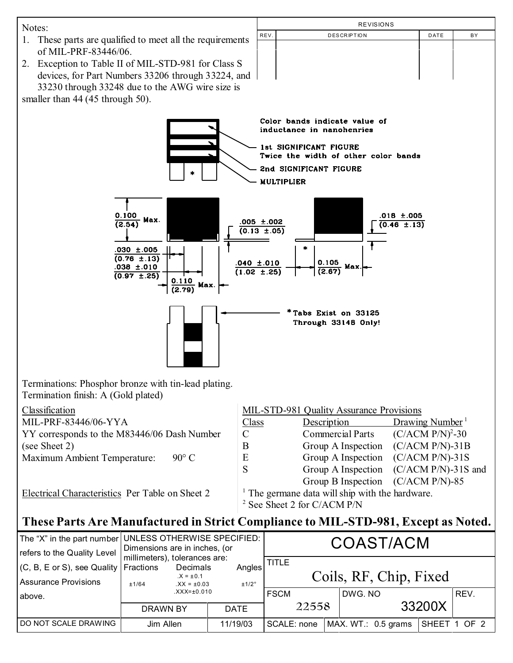